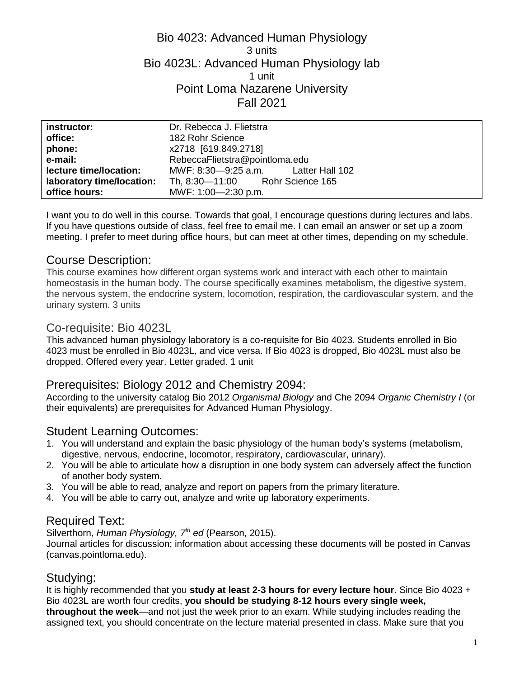## Bio 4023: Advanced Human Physiology 3 units Bio 4023L: Advanced Human Physiology lab 1 unit Point Loma Nazarene University Fall 2021

| instructor:               | Dr. Rebecca J. Flietstra            |
|---------------------------|-------------------------------------|
| office:                   | 182 Rohr Science                    |
| phone:                    | x2718 [619.849.2718]                |
| e-mail:                   | RebeccaFlietstra@pointloma.edu      |
| lecture time/location:    | MWF: 8:30-9:25 a.m. Latter Hall 102 |
| laboratory time/location: | Th, 8:30-11:00 Rohr Science 165     |
| office hours:             | MWF: 1:00-2:30 p.m.                 |

I want you to do well in this course. Towards that goal, I encourage questions during lectures and labs. If you have questions outside of class, feel free to email me. I can email an answer or set up a zoom meeting. I prefer to meet during office hours, but can meet at other times, depending on my schedule.

## Course Description:

This course examines how different organ systems work and interact with each other to maintain homeostasis in the human body. The course specifically examines metabolism, the digestive system, the nervous system, the endocrine system, locomotion, respiration, the cardiovascular system, and the urinary system. 3 units

### Co-requisite: Bio 4023L

This advanced human physiology laboratory is a co-requisite for Bio 4023. Students enrolled in Bio 4023 must be enrolled in Bio 4023L, and vice versa. If Bio 4023 is dropped, Bio 4023L must also be dropped. Offered every year. Letter graded. 1 unit

## Prerequisites: Biology 2012 and Chemistry 2094:

According to the university catalog Bio 2012 *Organismal Biology* and Che 2094 *Organic Chemistry I* (or their equivalents) are prerequisites for Advanced Human Physiology.

## Student Learning Outcomes:

- 1. You will understand and explain the basic physiology of the human body's systems (metabolism, digestive, nervous, endocrine, locomotor, respiratory, cardiovascular, urinary).
- 2. You will be able to articulate how a disruption in one body system can adversely affect the function of another body system.
- 3. You will be able to read, analyze and report on papers from the primary literature.
- 4. You will be able to carry out, analyze and write up laboratory experiments.

### Required Text:

Silverthorn, *Human Physiology, 7th ed* (Pearson, 2015).

Journal articles for discussion; information about accessing these documents will be posted in Canvas (canvas.pointloma.edu).

### Studying:

It is highly recommended that you **study at least 2-3 hours for every lecture hour**. Since Bio 4023 + Bio 4023L are worth four credits, **you should be studying 8-12 hours every single week, throughout the week**—and not just the week prior to an exam. While studying includes reading the assigned text, you should concentrate on the lecture material presented in class. Make sure that you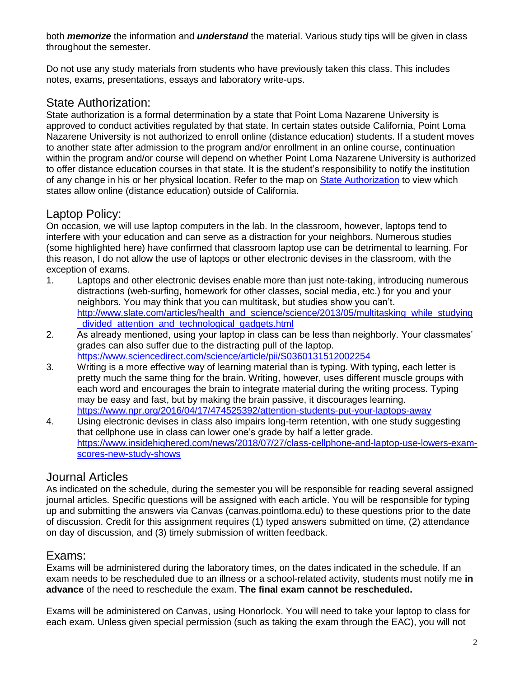both *memorize* the information and *understand* the material. Various study tips will be given in class throughout the semester.

Do not use any study materials from students who have previously taken this class. This includes notes, exams, presentations, essays and laboratory write-ups.

# State Authorization:

State authorization is a formal determination by a state that Point Loma Nazarene University is approved to conduct activities regulated by that state. In certain states outside California, Point Loma Nazarene University is not authorized to enroll online (distance education) students. If a student moves to another state after admission to the program and/or enrollment in an online course, continuation within the program and/or course will depend on whether Point Loma Nazarene University is authorized to offer distance education courses in that state. It is the student's responsibility to notify the institution of any change in his or her physical location. Refer to the map on [State Authorization](https://www.pointloma.edu/offices/office-institutional-effectiveness-research/disclosures) to view which states allow online (distance education) outside of California.

# Laptop Policy:

On occasion, we will use laptop computers in the lab. In the classroom, however, laptops tend to interfere with your education and can serve as a distraction for your neighbors. Numerous studies (some highlighted here) have confirmed that classroom laptop use can be detrimental to learning. For this reason, I do not allow the use of laptops or other electronic devises in the classroom, with the exception of exams.

- 1. Laptops and other electronic devises enable more than just note-taking, introducing numerous distractions (web-surfing, homework for other classes, social media, etc.) for you and your neighbors. You may think that you can multitask, but studies show you can't. [http://www.slate.com/articles/health\\_and\\_science/science/2013/05/multitasking\\_while\\_studying](http://www.slate.com/articles/health_and_science/science/2013/05/multitasking_while_studying_divided_attention_and_technological_gadgets.html) [\\_divided\\_attention\\_and\\_technological\\_gadgets.html](http://www.slate.com/articles/health_and_science/science/2013/05/multitasking_while_studying_divided_attention_and_technological_gadgets.html)
- 2. As already mentioned, using your laptop in class can be less than neighborly. Your classmates' grades can also suffer due to the distracting pull of the laptop. <https://www.sciencedirect.com/science/article/pii/S0360131512002254>
- 3. Writing is a more effective way of learning material than is typing. With typing, each letter is pretty much the same thing for the brain. Writing, however, uses different muscle groups with each word and encourages the brain to integrate material during the writing process. Typing may be easy and fast, but by making the brain passive, it discourages learning. <https://www.npr.org/2016/04/17/474525392/attention-students-put-your-laptops-away>
- 4. Using electronic devises in class also impairs long-term retention, with one study suggesting that cellphone use in class can lower one's grade by half a letter grade. [https://www.insidehighered.com/news/2018/07/27/class-cellphone-and-laptop-use-lowers-exam](https://www.insidehighered.com/news/2018/07/27/class-cellphone-and-laptop-use-lowers-exam-scores-new-study-shows)[scores-new-study-shows](https://www.insidehighered.com/news/2018/07/27/class-cellphone-and-laptop-use-lowers-exam-scores-new-study-shows)

## Journal Articles

As indicated on the schedule, during the semester you will be responsible for reading several assigned journal articles. Specific questions will be assigned with each article. You will be responsible for typing up and submitting the answers via Canvas (canvas.pointloma.edu) to these questions prior to the date of discussion. Credit for this assignment requires (1) typed answers submitted on time, (2) attendance on day of discussion, and (3) timely submission of written feedback.

### Exams:

Exams will be administered during the laboratory times, on the dates indicated in the schedule. If an exam needs to be rescheduled due to an illness or a school-related activity, students must notify me **in advance** of the need to reschedule the exam. **The final exam cannot be rescheduled.**

Exams will be administered on Canvas, using Honorlock. You will need to take your laptop to class for each exam. Unless given special permission (such as taking the exam through the EAC), you will not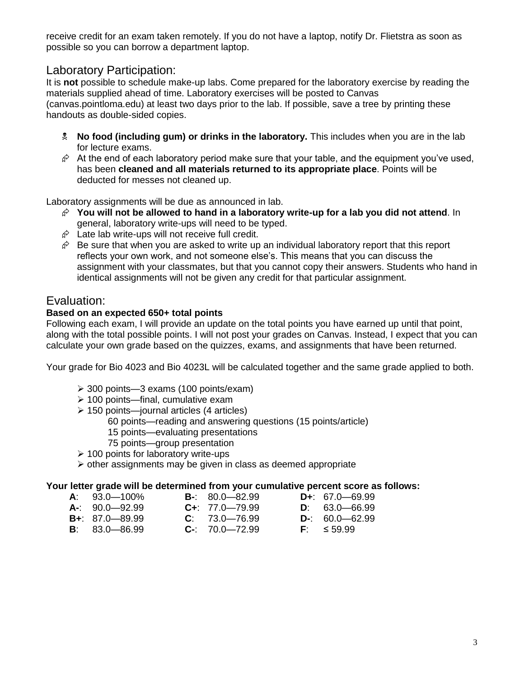receive credit for an exam taken remotely. If you do not have a laptop, notify Dr. Flietstra as soon as possible so you can borrow a department laptop.

## Laboratory Participation:

It is **not** possible to schedule make-up labs. Come prepared for the laboratory exercise by reading the materials supplied ahead of time. Laboratory exercises will be posted to Canvas (canvas.pointloma.edu) at least two days prior to the lab. If possible, save a tree by printing these handouts as double-sided copies.

- **No food (including gum) or drinks in the laboratory.** This includes when you are in the lab for lecture exams.
- $\hat{\varphi}$  At the end of each laboratory period make sure that your table, and the equipment you've used, has been **cleaned and all materials returned to its appropriate place**. Points will be deducted for messes not cleaned up.

Laboratory assignments will be due as announced in lab.

- **You will not be allowed to hand in a laboratory write-up for a lab you did not attend**. In general, laboratory write-ups will need to be typed.
- $\hat{\varphi}$  Late lab write-ups will not receive full credit.
- $\hat{\varphi}$  Be sure that when you are asked to write up an individual laboratory report that this report reflects your own work, and not someone else's. This means that you can discuss the assignment with your classmates, but that you cannot copy their answers. Students who hand in identical assignments will not be given any credit for that particular assignment.

### Evaluation:

#### **Based on an expected 650+ total points**

Following each exam, I will provide an update on the total points you have earned up until that point, along with the total possible points. I will not post your grades on Canvas. Instead, I expect that you can calculate your own grade based on the quizzes, exams, and assignments that have been returned.

Your grade for Bio 4023 and Bio 4023L will be calculated together and the same grade applied to both.

- 300 points—3 exams (100 points/exam)
- $\geq 100$  points—final, cumulative exam
- $\geq 150$  points—journal articles (4 articles)
	- 60 points—reading and answering questions (15 points/article)
		- 15 points—evaluating presentations
	- 75 points—group presentation
- $\geq 100$  points for laboratory write-ups
- $\triangleright$  other assignments may be given in class as deemed appropriate

#### **Your letter grade will be determined from your cumulative percent score as follows:**

- **A**: 93.0—100% **B-**: 80.0—82.99 **D+**: 67.0—69.99
- **A-**: 90.0—92.99 **C+**: 77.0—79.99 **D**: 63.0—66.99
- **B+**: 87.0—89.99 **C**: 73.0—76.99 **D-**: 60.0—62.99
- 
- 
- 
- 
- **B**: 83.0—86.99 **C-**: 70.0—72.99 **F**: ≤ 59.99
- 
- 

3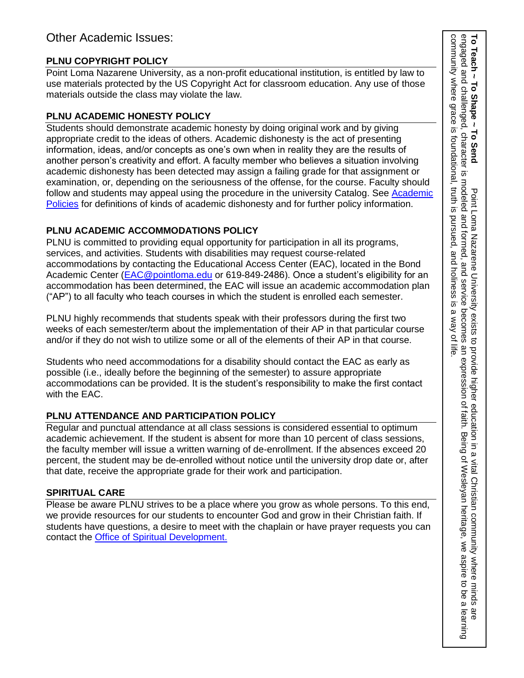## **PLNU COPYRIGHT POLICY**

Point Loma Nazarene University, as a non-profit educational institution, is entitled by law to use materials protected by the US Copyright Act for classroom education. Any use of those materials outside the class may violate the law.

### **PLNU ACADEMIC HONESTY POLICY**

Students should demonstrate academic honesty by doing original work and by giving appropriate credit to the ideas of others. Academic dishonesty is the act of presenting information, ideas, and/or concepts as one's own when in reality they are the results of another person's creativity and effort. A faculty member who believes a situation involving academic dishonesty has been detected may assign a failing grade for that assignment or examination, or, depending on the seriousness of the offense, for the course. Faculty should follow and students may appeal using the procedure in the university Catalog. See Academic [Policies](https://catalog.pointloma.edu/content.php?catoid=52&navoid=2919#Academic_Honesty) for definitions of kinds of academic dishonesty and for further policy information.

## **PLNU ACADEMIC ACCOMMODATIONS POLICY**

PLNU is committed to providing equal opportunity for participation in all its programs, services, and activities. Students with disabilities may request course-related accommodations by contacting the Educational Access Center (EAC), located in the Bond Academic Center [\(EAC@pointloma.edu](mailto:EAC@pointloma.edu) or 619-849-2486). Once a student's eligibility for an accommodation has been determined, the EAC will issue an academic accommodation plan ("AP") to all faculty who teach courses in which the student is enrolled each semester.

PLNU highly recommends that students speak with their professors during the first two weeks of each semester/term about the implementation of their AP in that particular course and/or if they do not wish to utilize some or all of the elements of their AP in that course.

Students who need accommodations for a disability should contact the EAC as early as possible (i.e., ideally before the beginning of the semester) to assure appropriate accommodations can be provided. It is the student's responsibility to make the first contact with the EAC.

## **PLNU ATTENDANCE AND PARTICIPATION POLICY**

Regular and punctual attendance at all class sessions is considered essential to optimum academic achievement. If the student is absent for more than 10 percent of class sessions, the faculty member will issue a written warning of de-enrollment. If the absences exceed 20 percent, the student may be de-enrolled without notice until the university drop date or, after that date, receive the appropriate grade for their work and participation.

## **SPIRITUAL CARE**

Please be aware PLNU strives to be a place where you grow as whole persons. To this end, we provide resources for our students to encounter God and grow in their Christian faith. If students have questions, a desire to meet with the chaplain or have prayer requests you can contact the Office of Spiritual Development.

community where grace To Teach ~ To Shape ~ To Send<br>engaged and challenged, character is modeled and formed, and service becomes an expression of faith. Being of Wesleyan heritage, we aspire to be a learning<br>engaged and challenged, character is community where grace is foundational, truth is pursued, and holiness is a way of life.engaged and challenged, character is modeled and formed, and service becomes an expression of faith. Being of Wesleyan heritage, we aspire to be a learning **To Teach ~ To Shape ~ To Send**  $\overline{\sigma}$ foundational, truth is pursued, and holiness is Point Loma Nazarene University  $\omega$ a way of exists to provide higher education in a vital Christian community where minds are .<br>Tife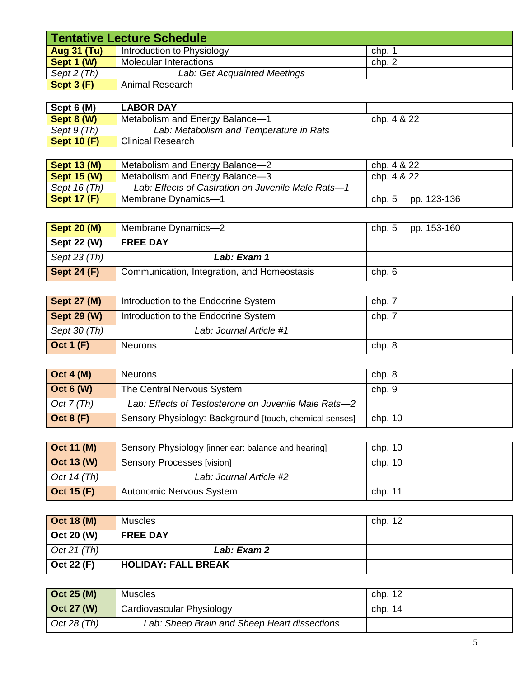| Tentative Lecture Schedule |                              |        |  |
|----------------------------|------------------------------|--------|--|
| <b>Aug 31 (Tu)</b>         | Introduction to Physiology   | chp.   |  |
| Sept 1 (W)                 | Molecular Interactions       | chp. 2 |  |
| Sept 2 (Th)                | Lab: Get Acquainted Meetings |        |  |
| Sept $3(F)$                | Animal Research              |        |  |

| Sept 6 (M)                 | <b>LABOR DAY</b>                        |             |
|----------------------------|-----------------------------------------|-------------|
| $\sqrt{\text{Sept } 8(N)}$ | Metabolism and Energy Balance-1         | chp. 4 & 22 |
| Sept 9 (Th)                | Lab: Metabolism and Temperature in Rats |             |
| Sept 10 $(F)$              | <b>Clinical Research</b>                |             |

| <b>Sept 13 (M)</b> | Metabolism and Energy Balance-2                    | chp. 4 & 22        |
|--------------------|----------------------------------------------------|--------------------|
| <b>Sept 15 (W)</b> | <b>Metabolism and Energy Balance-3</b>             | chp. 4 & 22        |
| Sept 16 (Th)       | Lab: Effects of Castration on Juvenile Male Rats-1 |                    |
| <b>Sept 17 (F)</b> | Membrane Dynamics-1                                | chp. 5 pp. 123-136 |

| <b>Sept 20 (M)</b> | Membrane Dynamics-2                         | chp. 5 | pp. 153-160 |
|--------------------|---------------------------------------------|--------|-------------|
| Sept 22 (W)        | <b>FREE DAY</b>                             |        |             |
| Sept $23$ (Th)     | Lab: Exam 1                                 |        |             |
| Sept 24 $(F)$      | Communication, Integration, and Homeostasis | chp.6  |             |

| Sept $27(M)$      | Introduction to the Endocrine System | chp. 7 |
|-------------------|--------------------------------------|--------|
| Sept $29(W)$      | Introduction to the Endocrine System | chp. 7 |
| Sept 30 (Th)      | Lab: Journal Article #1              |        |
| $\vert$ Oct 1 (F) | <b>Neurons</b>                       | chp. 8 |

| Oct $4(M)$       | <b>Neurons</b>                                          | chp. 8    |
|------------------|---------------------------------------------------------|-----------|
| Oct $6(N)$       | The Central Nervous System                              | chp. 9    |
| Oct $7(Th)$      | Lab: Effects of Testosterone on Juvenile Male Rats-2    |           |
| <b>Oct 8 (F)</b> | Sensory Physiology: Background [touch, chemical senses] | chp. $10$ |

| $\vert$ Oct 11 (M) | Sensory Physiology [inner ear: balance and hearing] | chp. $10$ |
|--------------------|-----------------------------------------------------|-----------|
| $\vert$ Oct 13 (W) | Sensory Processes [vision]                          | chp. 10   |
| Oct 14 $(Th)$      | Lab: Journal Article #2                             |           |
| $\vert$ Oct 15 (F) | Autonomic Nervous System                            | chp. 11   |

| $\vert$ Oct 18 (M) | <b>Muscles</b>             | chp. 12 |
|--------------------|----------------------------|---------|
| Oct 20 (W)         | <b>FREE DAY</b>            |         |
| Oct 21 (Th)        | Lab: Exam 2                |         |
| Oct 22 (F)         | <b>HOLIDAY: FALL BREAK</b> |         |

| $\vert$ Oct 25 (M) | <b>Muscles</b>                               | chp. 12   |
|--------------------|----------------------------------------------|-----------|
| $\vert$ Oct 27 (W) | Cardiovascular Physiology                    | chp. $14$ |
| Oct 28 $(Th)$      | Lab: Sheep Brain and Sheep Heart dissections |           |